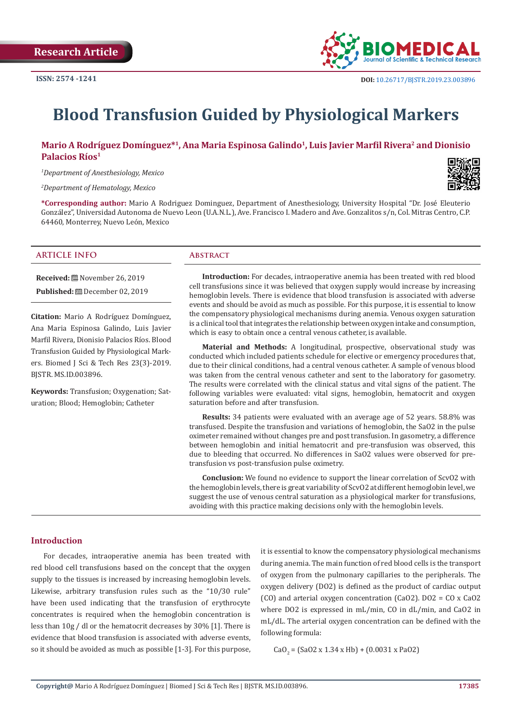

# **Blood Transfusion Guided by Physiological Markers**

# **Mario A Rodríguez Domínguez\*1, Ana Maria Espinosa Galindo1, Luis Javier Marfil Rivera2 and Dionisio Palacios Ríos1**

*1 Department of Anesthesiology, Mexico*

*2 Department of Hematology, Mexico*

**\*Corresponding author:** Mario A Rodriguez Dominguez, Department of Anesthesiology, University Hospital "Dr. José Eleuterio González", Universidad Autonoma de Nuevo Leon (U.A.N.L.), Ave. Francisco I. Madero and Ave. Gonzalitos s/n, Col. Mitras Centro, C.P. 64460, Monterrey, Nuevo León, Mexico

#### **ARTICLE INFO Abstract**

**Received:** November 26, 2019 **Published:** December 02, 2019

**Citation:** Mario A Rodríguez Domínguez, Ana Maria Espinosa Galindo, Luis Javier Marfil Rivera, Dionisio Palacios Ríos. Blood Transfusion Guided by Physiological Markers. Biomed J Sci & Tech Res 23(3)-2019. BJSTR. MS.ID.003896.

**Keywords:** Transfusion; Oxygenation; Saturation; Blood; Hemoglobin; Catheter

**Introduction:** For decades, intraoperative anemia has been treated with red blood cell transfusions since it was believed that oxygen supply would increase by increasing hemoglobin levels. There is evidence that blood transfusion is associated with adverse events and should be avoid as much as possible. For this purpose, it is essential to know the compensatory physiological mechanisms during anemia. Venous oxygen saturation is a clinical tool that integrates the relationship between oxygen intake and consumption, which is easy to obtain once a central venous catheter, is available.

**Material and Methods:** A longitudinal, prospective, observational study was conducted which included patients schedule for elective or emergency procedures that, due to their clinical conditions, had a central venous catheter. A sample of venous blood was taken from the central venous catheter and sent to the laboratory for gasometry. The results were correlated with the clinical status and vital signs of the patient. The following variables were evaluated: vital signs, hemoglobin, hematocrit and oxygen saturation before and after transfusion.

**Results:** 34 patients were evaluated with an average age of 52 years. 58.8% was transfused. Despite the transfusion and variations of hemoglobin, the SaO2 in the pulse oximeter remained without changes pre and post transfusion. In gasometry, a difference between hemoglobin and initial hematocrit and pre-transfusion was observed, this due to bleeding that occurred. No differences in SaO2 values were observed for pretransfusion vs post-transfusion pulse oximetry.

**Conclusion:** We found no evidence to support the linear correlation of ScvO2 with the hemoglobin levels, there is great variability of ScvO2 at different hemoglobin level, we suggest the use of venous central saturation as a physiological marker for transfusions, avoiding with this practice making decisions only with the hemoglobin levels.

# **Introduction**

For decades, intraoperative anemia has been treated with red blood cell transfusions based on the concept that the oxygen supply to the tissues is increased by increasing hemoglobin levels. Likewise, arbitrary transfusion rules such as the "10/30 rule" have been used indicating that the transfusion of erythrocyte concentrates is required when the hemoglobin concentration is less than 10g / dl or the hematocrit decreases by 30% [1]. There is evidence that blood transfusion is associated with adverse events, so it should be avoided as much as possible [1-3]. For this purpose,

it is essential to know the compensatory physiological mechanisms during anemia. The main function of red blood cells is the transport of oxygen from the pulmonary capillaries to the peripherals. The oxygen delivery (DO2) is defined as the product of cardiac output (CO) and arterial oxygen concentration (CaO2). DO2 = CO x CaO2 where DO2 is expressed in mL/min, CO in dL/min, and CaO2 in mL/dL. The arterial oxygen concentration can be defined with the following formula:

 $CaO<sub>2</sub> = (SaO2 \times 1.34 \times Hb) + (0.0031 \times PaO2)$ 

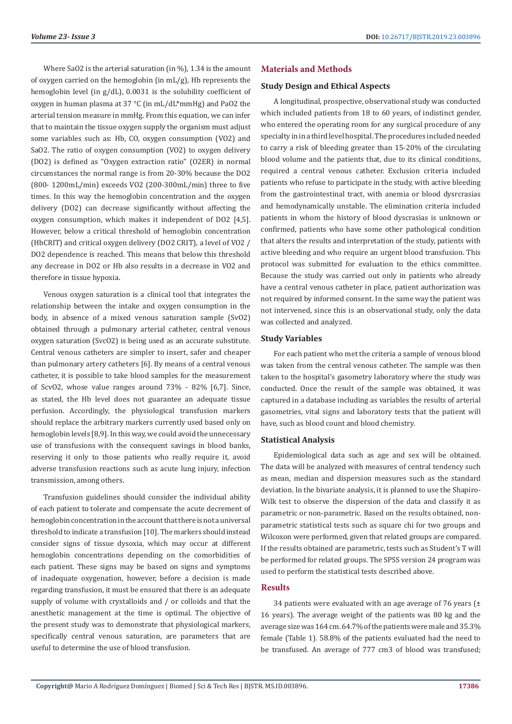Where SaO2 is the arterial saturation (in %), 1.34 is the amount of oxygen carried on the hemoglobin (in mL/g), Hb represents the hemoglobin level (in g/dL), 0.0031 is the solubility coefficient of oxygen in human plasma at 37 °C (in mL/dL\*mmHg) and PaO2 the arterial tension measure in mmHg. From this equation, we can infer that to maintain the tissue oxygen supply the organism must adjust some variables such as: Hb, CO, oxygen consumption (VO2) and SaO2. The ratio of oxygen consumption (VO2) to oxygen delivery (DO2) is defined as "Oxygen extraction ratio" (O2ER) in normal circumstances the normal range is from 20-30% because the DO2 (800- 1200mL/min) exceeds VO2 (200-300mL/min) three to five times. In this way the hemoglobin concentration and the oxygen delivery (DO2) can decrease significantly without affecting the oxygen consumption, which makes it independent of DO2 [4,5]. However, below a critical threshold of hemoglobin concentration (HbCRIT) and critical oxygen delivery (DO2 CRIT), a level of VO2 / DO2 dependence is reached. This means that below this threshold any decrease in DO2 or Hb also results in a decrease in VO2 and therefore in tissue hypoxia.

Venous oxygen saturation is a clinical tool that integrates the relationship between the intake and oxygen consumption in the body, in absence of a mixed venous saturation sample (SvO2) obtained through a pulmonary arterial catheter, central venous oxygen saturation (SvcO2) is being used as an accurate substitute. Central venous catheters are simpler to insert, safer and cheaper than pulmonary artery catheters [6]. By means of a central venous catheter, it is possible to take blood samples for the measurement of ScvO2, whose value ranges around 73% - 82% [6,7]. Since, as stated, the Hb level does not guarantee an adequate tissue perfusion. Accordingly, the physiological transfusion markers should replace the arbitrary markers currently used based only on hemoglobin levels [8,9]. In this way, we could avoid the unnecessary use of transfusions with the consequent savings in blood banks, reserving it only to those patients who really require it, avoid adverse transfusion reactions such as acute lung injury, infection transmission, among others.

Transfusion guidelines should consider the individual ability of each patient to tolerate and compensate the acute decrement of hemoglobin concentration in the account that there is not a universal threshold to indicate a transfusion [10]. The markers should instead consider signs of tissue dysoxia, which may occur at different hemoglobin concentrations depending on the comorbidities of each patient. These signs may be based on signs and symptoms of inadequate oxygenation, however, before a decision is made regarding transfusion, it must be ensured that there is an adequate supply of volume with crystalloids and / or colloids and that the anesthetic management at the time is optimal. The objective of the present study was to demonstrate that physiological markers, specifically central venous saturation, are parameters that are useful to determine the use of blood transfusion.

# **Materials and Methods**

# **Study Design and Ethical Aspects**

A longitudinal, prospective, observational study was conducted which included patients from 18 to 60 years, of indistinct gender, who entered the operating room for any surgical procedure of any specialty in in a third level hospital. The procedures included needed to carry a risk of bleeding greater than 15-20% of the circulating blood volume and the patients that, due to its clinical conditions, required a central venous catheter. Exclusion criteria included patients who refuse to participate in the study, with active bleeding from the gastrointestinal tract, with anemia or blood dysrcrasias and hemodynamically unstable. The elimination criteria included patients in whom the history of blood dyscrasias is unknown or confirmed, patients who have some other pathological condition that alters the results and interpretation of the study, patients with active bleeding and who require an urgent blood transfusion. This protocol was submitted for evaluation to the ethics committee. Because the study was carried out only in patients who already have a central venous catheter in place, patient authorization was not required by informed consent. In the same way the patient was not intervened, since this is an observational study, only the data was collected and analyzed.

### **Study Variables**

For each patient who met the criteria a sample of venous blood was taken from the central venous catheter. The sample was then taken to the hospital's gasometry laboratory where the study was conducted. Once the result of the sample was obtained, it was captured in a database including as variables the results of arterial gasometries, vital signs and laboratory tests that the patient will have, such as blood count and blood chemistry.

#### **Statistical Analysis**

Epidemiological data such as age and sex will be obtained. The data will be analyzed with measures of central tendency such as mean, median and dispersion measures such as the standard deviation. In the bivariate analysis, it is planned to use the Shapiro-Wilk test to observe the dispersion of the data and classify it as parametric or non-parametric. Based on the results obtained, nonparametric statistical tests such as square chi for two groups and Wilcoxon were performed, given that related groups are compared. If the results obtained are parametric, tests such as Student's T will be performed for related groups. The SPSS version 24 program was used to perform the statistical tests described above.

# **Results**

34 patients were evaluated with an age average of 76 years  $(\pm$ 16 years). The average weight of the patients was 80 kg and the average size was 164 cm. 64.7% of the patients were male and 35.3% female (Table 1). 58.8% of the patients evaluated had the need to be transfused. An average of 777 cm3 of blood was transfused;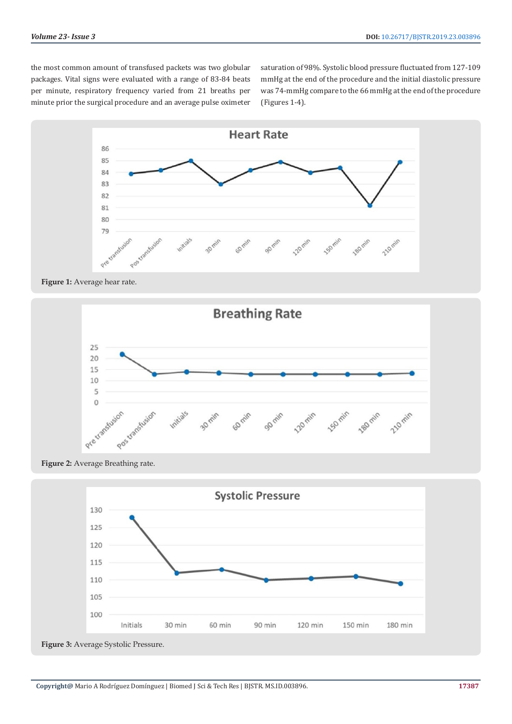the most common amount of transfused packets was two globular packages. Vital signs were evaluated with a range of 83-84 beats per minute, respiratory frequency varied from 21 breaths per minute prior the surgical procedure and an average pulse oximeter saturation of 98%. Systolic blood pressure fluctuated from 127-109 mmHg at the end of the procedure and the initial diastolic pressure was 74-mmHg compare to the 66 mmHg at the end of the procedure (Figures 1-4).



**Figure 1:** Average hear rate.



**Figure 2:** Average Breathing rate.



**Figure 3:** Average Systolic Pressure.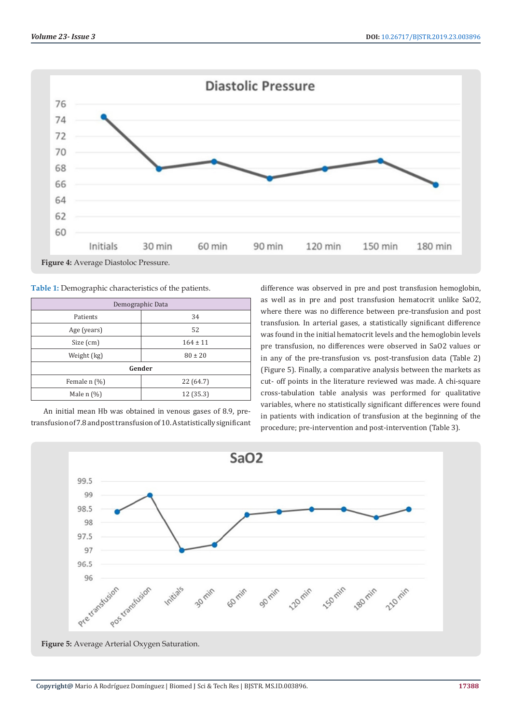

**Table 1:** Demographic characteristics of the patients.

| Demographic Data |              |  |  |  |  |  |
|------------------|--------------|--|--|--|--|--|
| Patients         | 34           |  |  |  |  |  |
| Age (years)      | 52           |  |  |  |  |  |
| Size (cm)        | $164 \pm 11$ |  |  |  |  |  |
| Weight (kg)      | $80 \pm 20$  |  |  |  |  |  |
| Gender           |              |  |  |  |  |  |
| Female $n$ (%)   | 22 (64.7)    |  |  |  |  |  |
| Male $n$ $(\%)$  | 12 (35.3)    |  |  |  |  |  |

An initial mean Hb was obtained in venous gases of 8.9, pretransfusion of 7.8 and post transfusion of 10. A statistically significant difference was observed in pre and post transfusion hemoglobin, as well as in pre and post transfusion hematocrit unlike SaO2, where there was no difference between pre-transfusion and post transfusion. In arterial gases, a statistically significant difference was found in the initial hematocrit levels and the hemoglobin levels pre transfusion, no differences were observed in SaO2 values or in any of the pre-transfusion vs. post-transfusion data (Table 2) (Figure 5). Finally, a comparative analysis between the markets as cut- off points in the literature reviewed was made. A chi-square cross-tabulation table analysis was performed for qualitative variables, where no statistically significant differences were found in patients with indication of transfusion at the beginning of the procedure; pre-intervention and post-intervention (Table 3).

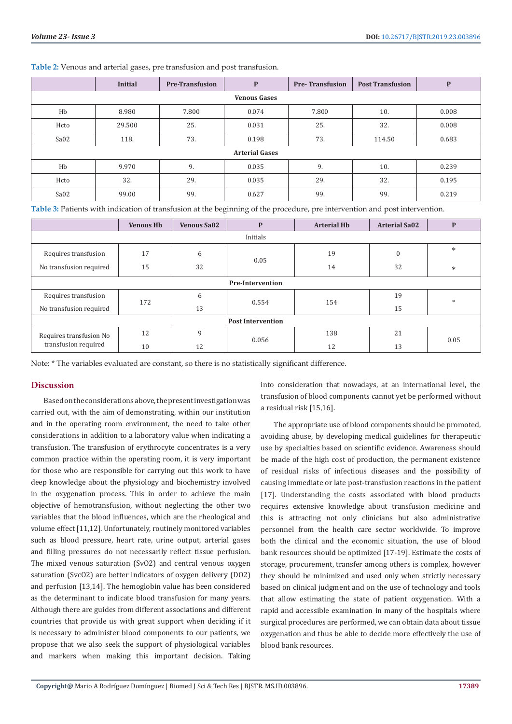|                       | <b>Initial</b> | <b>Pre-Transfusion</b> | P     | <b>Pre-Transfusion</b> | <b>Post Transfusion</b> | P     |  |  |  |
|-----------------------|----------------|------------------------|-------|------------------------|-------------------------|-------|--|--|--|
| <b>Venous Gases</b>   |                |                        |       |                        |                         |       |  |  |  |
| Hb                    | 8.980          | 7.800                  | 0.074 | 7.800                  | 10.                     | 0.008 |  |  |  |
| Hcto                  | 29.500         | 25.                    | 0.031 | 25.                    | 32.                     | 0.008 |  |  |  |
| Sa <sub>02</sub>      | 118.           | 73.                    | 0.198 | 73.                    | 114.50                  | 0.683 |  |  |  |
| <b>Arterial Gases</b> |                |                        |       |                        |                         |       |  |  |  |
| Hb                    | 9.970          | 9.                     | 0.035 | 9.                     | 10.                     | 0.239 |  |  |  |
| Hcto                  | 32.            | 29.                    | 0.035 | 29.                    | 32.                     | 0.195 |  |  |  |
| Sa <sub>02</sub>      | 99.00          | 99.                    | 0.627 | 99.                    | 99.                     | 0.219 |  |  |  |

**Table 2:** Venous and arterial gases, pre transfusion and post transfusion.

**Table 3:** Patients with indication of transfusion at the beginning of the procedure, pre intervention and post intervention.

|                                                 | <b>Venous Hb</b> | <b>Venous Sa02</b> | $\mathbf P$ | <b>Arterial Hb</b> | <b>Arterial Sa02</b> | $\mathbf P$ |  |  |
|-------------------------------------------------|------------------|--------------------|-------------|--------------------|----------------------|-------------|--|--|
| Initials                                        |                  |                    |             |                    |                      |             |  |  |
| Requires transfusion                            | 17               | 6                  | 0.05        | 19                 | 0                    | $\ast$      |  |  |
| No transfusion required                         | 15               | 32                 |             | 14                 | 32                   | $\ast$      |  |  |
| <b>Pre-Intervention</b>                         |                  |                    |             |                    |                      |             |  |  |
| Requires transfusion                            | 172              | 6                  | 0.554       | 154                | 19                   | $*$         |  |  |
| No transfusion required                         |                  | 13                 |             |                    | 15                   |             |  |  |
| <b>Post Intervention</b>                        |                  |                    |             |                    |                      |             |  |  |
| Requires transfusion No<br>transfusion required | 12               | 9                  | 0.056       | 138                | 21                   | 0.05        |  |  |
|                                                 | 10               | 12                 |             | 12                 | 13                   |             |  |  |

Note: \* The variables evaluated are constant, so there is no statistically significant difference.

#### **Discussion**

Based on the considerations above, the present investigation was carried out, with the aim of demonstrating, within our institution and in the operating room environment, the need to take other considerations in addition to a laboratory value when indicating a transfusion. The transfusion of erythrocyte concentrates is a very common practice within the operating room, it is very important for those who are responsible for carrying out this work to have deep knowledge about the physiology and biochemistry involved in the oxygenation process. This in order to achieve the main objective of hemotransfusion, without neglecting the other two variables that the blood influences, which are the rheological and volume effect [11,12]. Unfortunately, routinely monitored variables such as blood pressure, heart rate, urine output, arterial gases and filling pressures do not necessarily reflect tissue perfusion. The mixed venous saturation (SvO2) and central venous oxygen saturation (SvcO2) are better indicators of oxygen delivery (DO2) and perfusion [13,14]. The hemoglobin value has been considered as the determinant to indicate blood transfusion for many years. Although there are guides from different associations and different countries that provide us with great support when deciding if it is necessary to administer blood components to our patients, we propose that we also seek the support of physiological variables and markers when making this important decision. Taking

into consideration that nowadays, at an international level, the transfusion of blood components cannot yet be performed without a residual risk [15,16].

The appropriate use of blood components should be promoted, avoiding abuse, by developing medical guidelines for therapeutic use by specialties based on scientific evidence. Awareness should be made of the high cost of production, the permanent existence of residual risks of infectious diseases and the possibility of causing immediate or late post-transfusion reactions in the patient [17]. Understanding the costs associated with blood products requires extensive knowledge about transfusion medicine and this is attracting not only clinicians but also administrative personnel from the health care sector worldwide. To improve both the clinical and the economic situation, the use of blood bank resources should be optimized [17-19]. Estimate the costs of storage, procurement, transfer among others is complex, however they should be minimized and used only when strictly necessary based on clinical judgment and on the use of technology and tools that allow estimating the state of patient oxygenation. With a rapid and accessible examination in many of the hospitals where surgical procedures are performed, we can obtain data about tissue oxygenation and thus be able to decide more effectively the use of blood bank resources.